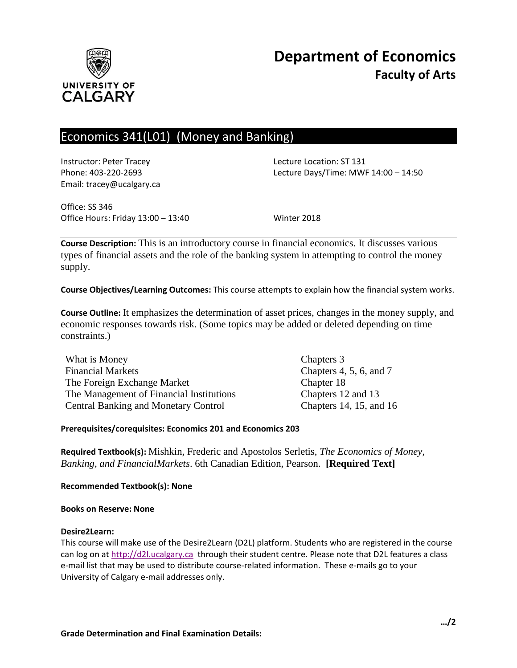

# Economics 341(L01) (Money and Banking)

Instructor: Peter Tracey Lecture Location: ST 131 Email: tracey@ucalgary.ca

Phone: 403-220-2693 Lecture Days/Time: MWF 14:00 – 14:50

Office: SS 346 Office Hours: Friday 13:00 – 13:40 Winter 2018

**Course Description:** This is an introductory course in financial economics. It discusses various types of financial assets and the role of the banking system in attempting to control the money supply.

**Course Objectives/Learning Outcomes:** This course attempts to explain how the financial system works.

**Course Outline:** It emphasizes the determination of asset prices, changes in the money supply, and economic responses towards risk. (Some topics may be added or deleted depending on time constraints.)

| What is Money                               | Chapters 3                  |
|---------------------------------------------|-----------------------------|
| <b>Financial Markets</b>                    | Chapters $4, 5, 6,$ and $7$ |
| The Foreign Exchange Market                 | Chapter 18                  |
| The Management of Financial Institutions    | Chapters 12 and 13          |
| <b>Central Banking and Monetary Control</b> | Chapters 14, 15, and 16     |

# **Prerequisites/corequisites: Economics 201 and Economics 203**

**Required Textbook(s):** Mishkin, Frederic and Apostolos Serletis, *The Economics of Money, Banking, and FinancialMarkets*. 6th Canadian Edition, Pearson. **[Required Text]**

**Recommended Textbook(s): None**

#### **Books on Reserve: None**

#### **Desire2Learn:**

This course will make use of the Desire2Learn (D2L) platform. Students who are registered in the course can log on a[t http://d2l.ucalgary.ca](http://d2l.ucalgary.ca/) through their student centre. Please note that D2L features a class e-mail list that may be used to distribute course-related information. These e-mails go to your University of Calgary e-mail addresses only.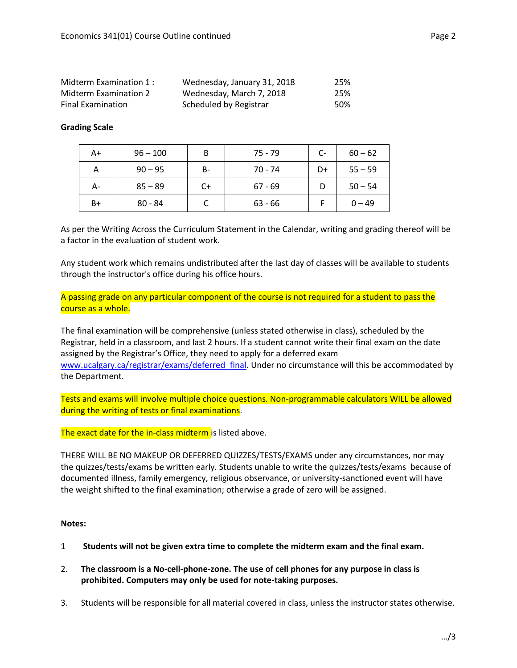| Midterm Examination 1:   | Wednesday, January 31, 2018 | 25% |
|--------------------------|-----------------------------|-----|
| Midterm Examination 2    | Wednesday, March 7, 2018    | 25% |
| <b>Final Examination</b> | Scheduled by Registrar      | 50% |

# **Grading Scale**

| A+ | $96 - 100$ | B     | $75 - 79$ | C- | $60 - 62$ |
|----|------------|-------|-----------|----|-----------|
| А  | $90 - 95$  | $B -$ | 70 - 74   | D+ | $55 - 59$ |
| А- | $85 - 89$  | $C+$  | $67 - 69$ |    | $50 - 54$ |
| B+ | $80 - 84$  |       | $63 - 66$ |    | $0 - 49$  |

As per the Writing Across the Curriculum Statement in the Calendar, writing and grading thereof will be a factor in the evaluation of student work.

Any student work which remains undistributed after the last day of classes will be available to students through the instructor's office during his office hours.

A passing grade on any particular component of the course is not required for a student to pass the course as a whole.

The final examination will be comprehensive (unless stated otherwise in class), scheduled by the Registrar, held in a classroom, and last 2 hours. If a student cannot write their final exam on the date assigned by the Registrar's Office, they need to apply for a deferred exam [www.ucalgary.ca/registrar/exams/deferred\\_final.](http://www.ucalgary.ca/registrar/exams/deferred_final) Under no circumstance will this be accommodated by the Department.

Tests and exams will involve multiple choice questions. Non-programmable calculators WILL be allowed during the writing of tests or final examinations.

The exact date for the in-class midterm is listed above.

THERE WILL BE NO MAKEUP OR DEFERRED QUIZZES/TESTS/EXAMS under any circumstances, nor may the quizzes/tests/exams be written early. Students unable to write the quizzes/tests/exams because of documented illness, family emergency, religious observance, or university-sanctioned event will have the weight shifted to the final examination; otherwise a grade of zero will be assigned.

# **Notes:**

- 1 **Students will not be given extra time to complete the midterm exam and the final exam.**
- 2. **The classroom is a No-cell-phone-zone. The use of cell phones for any purpose in class is prohibited. Computers may only be used for note-taking purposes.**
- 3. Students will be responsible for all material covered in class, unless the instructor states otherwise.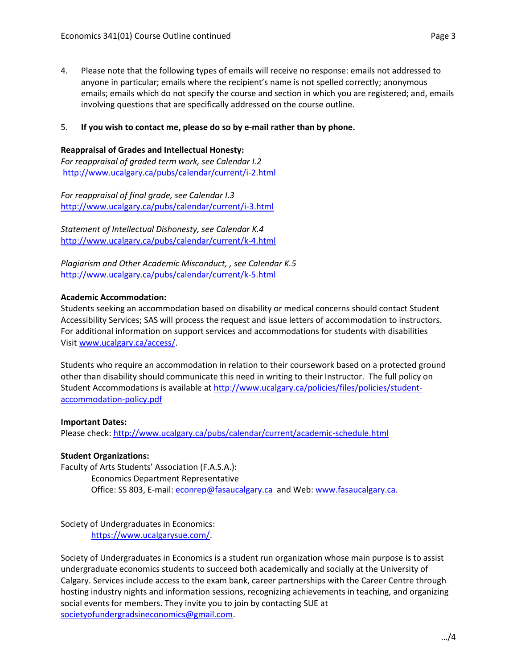4. Please note that the following types of emails will receive no response: emails not addressed to anyone in particular; emails where the recipient's name is not spelled correctly; anonymous emails; emails which do not specify the course and section in which you are registered; and, emails involving questions that are specifically addressed on the course outline.

## 5. **If you wish to contact me, please do so by e-mail rather than by phone.**

#### **Reappraisal of Grades and Intellectual Honesty:**

*For reappraisal of graded term work, see Calendar I.2* <http://www.ucalgary.ca/pubs/calendar/current/i-2.html>

*For reappraisal of final grade, see Calendar I.3* <http://www.ucalgary.ca/pubs/calendar/current/i-3.html>

*Statement of Intellectual Dishonesty, see Calendar K.4* <http://www.ucalgary.ca/pubs/calendar/current/k-4.html>

*Plagiarism and Other Academic Misconduct, , see Calendar K.5* <http://www.ucalgary.ca/pubs/calendar/current/k-5.html>

## **Academic Accommodation:**

Students seeking an accommodation based on disability or medical concerns should contact Student Accessibility Services; SAS will process the request and issue letters of accommodation to instructors. For additional information on support services and accommodations for students with disabilities Visit [www.ucalgary.ca/access/.](http://www.ucalgary.ca/access/)

Students who require an accommodation in relation to their coursework based on a protected ground other than disability should communicate this need in writing to their Instructor. The full policy on Student Accommodations is available at [http://www.ucalgary.ca/policies/files/policies/student](http://www.ucalgary.ca/policies/files/policies/student-accommodation-policy.pdf)[accommodation-policy.pdf](http://www.ucalgary.ca/policies/files/policies/student-accommodation-policy.pdf)

# **Important Dates:**

Please check:<http://www.ucalgary.ca/pubs/calendar/current/academic-schedule.html>

#### **Student Organizations:**

Faculty of Arts Students' Association (F.A.S.A.): Economics Department Representative Office: SS 803, E-mail: [econrep@fasaucalgary.ca](mailto:econrep@fasaucalgary.ca) and Web[: www.fasaucalgary.ca.](http://www.fasaucalgary.ca/)

Society of Undergraduates in Economics: [https://www.ucalgarysue.com/.](https://www.ucalgarysue.com/)

Society of Undergraduates in Economics is a student run organization whose main purpose is to assist undergraduate economics students to succeed both academically and socially at the University of Calgary. Services include access to the exam bank, career partnerships with the Career Centre through hosting industry nights and information sessions, recognizing achievements in teaching, and organizing social events for members. They invite you to join by contacting SUE at [societyofundergradsineconomics@gmail.com.](mailto:societyofundergradsineconomics@gmail.com)